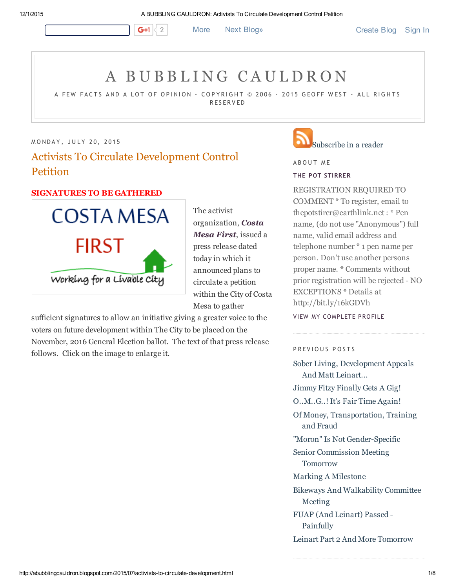**6+1**  $\begin{array}{c} 2 \end{array}$  More Next [Blog»](https://www.blogger.com/next-blog?navBar=true&blogID=36907480) [Create](https://www.blogger.com/home#create) Blog [Sign](https://www.blogger.com/) In

# A B U B B L I [N](http://abubblingcauldron.blogspot.com/) G C A U L D R O N

A FEW FACTS AND A LOT OF OPINION – COPYRIGHT © 2006 – 2015 GEOFF WEST – ALL RIGHTS **RESERVED** 

MONDAY, JULY 20, 2015

# Activists To Circulate Development Control **Petition**

# SIGNATURES TO BE GATHERED



The activist [organization,](http://www.costamesa1st.com/) Costa Mesa First, issued a press release dated today in which it announced plans to circulate a petition within the City of Costa Mesa to gather

sufficient signatures to allow an initiative giving a greater voice to the voters on future development within The City to be placed on the November, 2016 General Election ballot. The text of that press release follows. Click on the image to enlarge it.

# [Subscribe](http://feeds2.feedburner.com/ABubblingCauldron) in a reader

A B O U T M E

## THE POT [STIRRER](https://www.blogger.com/profile/00561445581111656693)

REGISTRATION REQUIRED TO COMMENT \* To register, email to thepotstirer@earthlink.net : \* Pen name, (do not use "Anonymous") full name, valid email address and telephone number \* 1 pen name per person. Don't use another persons proper name. \* Comments without prior registration will be rejected - NO EXCEPTIONS \* Details at http://bit.ly/16kGDVh

VIEW MY [COMPLETE](https://www.blogger.com/profile/00561445581111656693) PROFILE

P R EVIOUS POSTS

Sober Living, [Development](http://abubblingcauldron.blogspot.com/2015/07/sober-living-development-appeals-and.html) Appeals And Matt Leinart... Jimmy Fitzy [Finally](http://abubblingcauldron.blogspot.com/2015/07/jimmy-fitzy-finally-gets-gig.html) Gets A Gig! [O..M..G..!](http://abubblingcauldron.blogspot.com/2015/07/omg-its-fair-time-again.html) It's Fair Time Again! Of Money, [Transportation,](http://abubblingcauldron.blogspot.com/2015/07/small-crowd-attends-meetng-costa-mesa.html) Training and Fraud "Moron" Is Not Gender-Specific Senior [Commission](http://abubblingcauldron.blogspot.com/2015/07/senior-commission-meeting-tomorrow.html) Meeting Tomorrow Marking A [Milestone](http://abubblingcauldron.blogspot.com/2015/07/marking-milestone.html) Bikeways And [Walkability](http://abubblingcauldron.blogspot.com/2015/07/bikeways-and-walkability-committee.html) Committee Meeting FUAP (And Leinart) Passed [Painfully](http://abubblingcauldron.blogspot.com/2015/07/fuap-and-leinart-passed-painfully.html) Leinart Part 2 And More [Tomorrow](http://abubblingcauldron.blogspot.com/2015/07/leinart-part-2-and-more-tomorrow.html)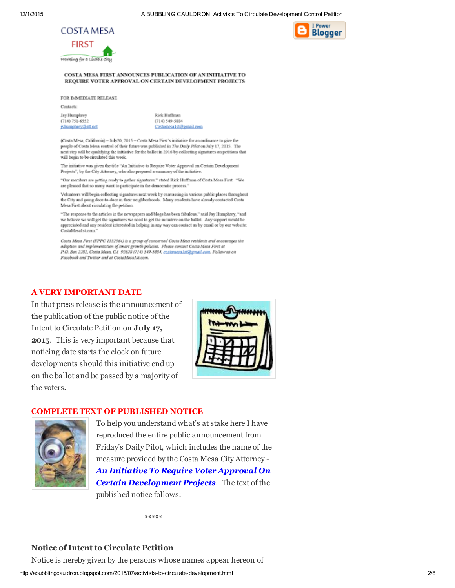I Power

**Blogger** 



 $(714) 751 - 6552$ 

jylumphrey@att.net

Rick Huffman  $(714) 549 - 5884$ Costamesa1st@gmail.com

(Costa Mesa, California) - July20, 2015 - Costa Mesa First's initiative for an ordinance to give the people of Costa Mesa control of their future was published in The Daily Pilot on July 17, 2015. The next step will be qualifying the initiative for the ballot in 2016 by collecting signatures on petitions that will begin to be circulated this week.

The initiative was given the title "An Initiative to Require Voter Approval on Certain Development Projects", by the City Attorney, who also prepared a summary of the initiative

"Our members are getting ready to gather signatures." stated Rick Huffman of Costa Mesa First. "We are pleased that so many want to participate in the democratic process."

Volunteers will begin collecting signatures next week by canvassing in various public places throughout the City and going door-to-door in their neighborhoods. Many residents have already contacted Costa Mesa First about circulating the petition.

"The response to the articles in the newspapers and blogs has been fabulous," said Jay Humphrey, "and we believe we will get the signatures we need to get the initiative on the ballot. Any support would be appreciated and any resident interested in helping in any way can contact us by email or by our website: CostaMesa1st.com.

Costa Mesa First (FPPC 1332564) is a group of concerned Costa Mesa residents and encourages the adoption and implementation of smart growth policies. Please contact Costa Mesa First at P.O. Box 2282, Costa Mesa, CA 92628 (714) 549-5884, costamesa1st@gmail.com, Follow us on Facebook and Twitter and at CostaMesa1st.com.

# A VERY IMPORTANT DATE

In that press release is the announcement of the publication of the public notice of the Intent to Circulate Petition on July 17, 2015. This is very important because that noticing date starts the clock on future developments should this initiative end up on the ballot and be passed by a majority of the voters.



### COMPLETE TEXT OF PUBLISHED NOTICE



To help you understand what's at stake here I have reproduced the entire public announcement from Friday's Daily Pilot, which includes the name of the measure provided by the Costa Mesa City Attorney An Initiative To Require Voter Approval On **Certain Development Projects.** The text of the published notice follows:

\*\*\*\*\*

# Notice of Intent to Circulate Petition

Notice is hereby given by the persons whose names appear hereon of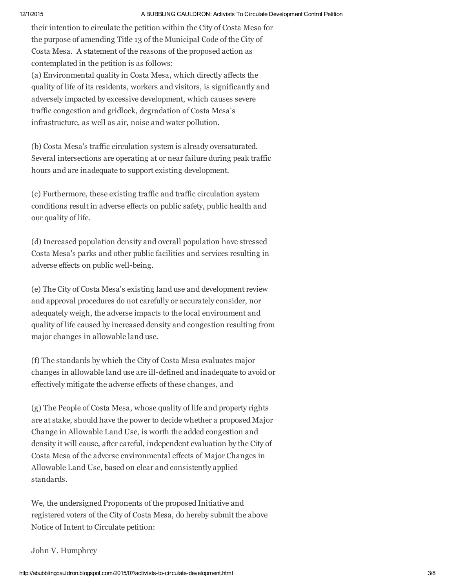#### 12/1/2015 A BUBBLING CAULDRON: Activists To Circulate Development Control Petition

their intention to circulate the petition within the City of Costa Mesa for the purpose of amending Title 13 of the Municipal Code of the City of Costa Mesa. A statement of the reasons of the proposed action as contemplated in the petition is as follows: (a) Environmental quality in Costa Mesa, which directly affects the

quality of life of its residents, workers and visitors, is significantly and adversely impacted by excessive development, which causes severe traffic congestion and gridlock, degradation of Costa Mesa's infrastructure, as well as air, noise and water pollution.

(b) Costa Mesa's traffic circulation system is already oversaturated. Several intersections are operating at or near failure during peak traffic hours and are inadequate to support existing development.

(c) Furthermore, these existing traffic and traffic circulation system conditions result in adverse effects on public safety, public health and our quality of life.

(d) Increased population density and overall population have stressed Costa Mesa's parks and other public facilities and services resulting in adverse effects on public well-being.

(e) The City of Costa Mesa's existing land use and development review and approval procedures do not carefully or accurately consider, nor adequately weigh, the adverse impacts to the local environment and quality of life caused by increased density and congestion resulting from major changes in allowable land use.

(f) The standards by which the City of Costa Mesa evaluates major changes in allowable land use are ill-defined and inadequate to avoid or effectively mitigate the adverse effects of these changes, and

(g) The People of Costa Mesa, whose quality of life and property rights are at stake, should have the power to decide whether a proposed Major Change in Allowable Land Use, is worth the added congestion and density it will cause, after careful, independent evaluation by the City of Costa Mesa of the adverse environmental effects of Major Changes in Allowable Land Use, based on clear and consistently applied standards.

We, the undersigned Proponents of the proposed Initiative and registered voters of the City of Costa Mesa, do hereby submit the above Notice of Intent to Circulate petition:

# John V. Humphrey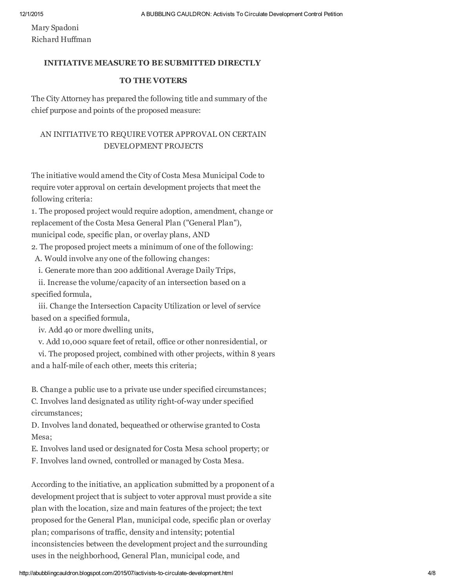Mary Spadoni Richard Huffman

# INITIATIVE MEASURE TO BE SUBMITTED DIRECTLY

### TO THE VOTERS

The City Attorney has prepared the following title and summary of the chief purpose and points of the proposed measure:

# AN INITIATIVE TO REQUIRE VOTER APPROVAL ON CERTAIN DEVELOPMENT PROJECTS

The initiative would amend the City of Costa Mesa Municipal Code to require voter approval on certain development projects that meet the following criteria:

1. The proposed project would require adoption, amendment, change or replacement of the Costa Mesa General Plan ("General Plan"), municipal code, specific plan, or overlay plans, AND

2. The proposed project meets a minimum of one of the following:

- A. Would involve any one of the following changes:
- i. Generate more than 200 additional Average Daily Trips,

ii. Increase the volume/capacity of an intersection based on a specified formula,

iii. Change the Intersection Capacity Utilization or level of service based on a specified formula,

iv. Add 40 or more dwelling units,

v. Add 10,000 square feet of retail, office or other nonresidential, or

vi. The proposed project, combined with other projects, within 8 years and a half-mile of each other, meets this criteria;

B. Change a public use to a private use under specified circumstances;

C. Involves land designated as utility right-of-way under specified circumstances;

D. Involves land donated, bequeathed or otherwise granted to Costa Mesa;

E. Involves land used or designated for Costa Mesa school property; or

F. Involves land owned, controlled or managed by Costa Mesa.

According to the initiative, an application submitted by a proponent of a development project that is subject to voter approval must provide a site plan with the location, size and main features of the project; the text proposed for the General Plan, municipal code, specific plan or overlay plan; comparisons of traffic, density and intensity; potential inconsistencies between the development project and the surrounding uses in the neighborhood, General Plan, municipal code, and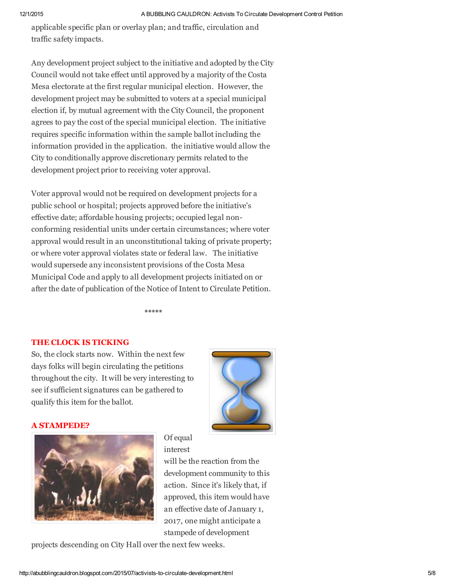applicable specific plan or overlay plan; and traffic, circulation and traffic safety impacts.

Any development project subject to the initiative and adopted by the City Council would not take effect until approved by a majority of the Costa Mesa electorate at the first regular municipal election. However, the development project may be submitted to voters at a special municipal election if, by mutual agreement with the City Council, the proponent agrees to pay the cost of the special municipal election. The initiative requires specific information within the sample ballot including the information provided in the application. the initiative would allow the City to conditionally approve discretionary permits related to the development project prior to receiving voter approval.

Voter approval would not be required on development projects for a public school or hospital; projects approved before the initiative's effective date; affordable housing projects; occupied legal nonconforming residential units under certain circumstances; where voter approval would result in an unconstitutional taking of private property; or where voter approval violates state or federal law. The initiative would supersede any inconsistent provisions of the Costa Mesa Municipal Code and apply to all development projects initiated on or after the date of publication of the Notice of Intent to Circulate Petition.

\*\*\*\*\*

# THE CLOCK IS TICKING

So, the clock starts now. Within the next few days folks will begin circulating the petitions throughout the city. It will be very interesting to see if sufficient signatures can be gathered to qualify this item for the ballot.



# A STAMPEDE?



Of equal interest

will be the reaction from the development community to this action. Since it's likely that, if approved, this item would have an effective date of January 1, 2017, one might anticipate a stampede of development

projects descending on City Hall over the next few weeks.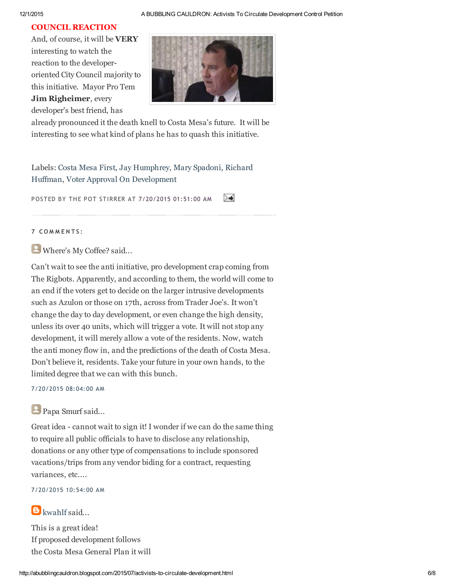#### 12/1/2015 A BUBBLING CAULDRON: Activists To Circulate Development Control Petition

# COUNCIL REACTION

And, of course, it will be VERY interesting to watch the reaction to the developeroriented City Council majority to this initiative. Mayor Pro Tem Jim Righeimer, every developer's best friend, has



already pronounced it the death knell to Costa Mesa's future. It will be interesting to see what kind of plans he has to quash this initiative.

Labels: [Costa](http://abubblingcauldron.blogspot.com/search/label/Costa%20Mesa%20First) Mesa First, Jay [Humphrey](http://abubblingcauldron.blogspot.com/search/label/Jay%20Humphrey), Mary [Spadoni,](http://abubblingcauldron.blogspot.com/search/label/Mary%20Spadoni) Richard Huffman, Voter Approval On [Development](http://abubblingcauldron.blogspot.com/search/label/Richard%20Huffman)

POSTED BY THE POT STIRRER AT [7/20/2015](http://abubblingcauldron.blogspot.com/2015/07/activists-to-circulate-development.html) 01:51:00 AM ≻≢

#### 7 COMMENTS:

Where's My Coffee? said...

Can't wait to see the anti initiative, pro development crap coming from The Rigbots. Apparently, and according to them, the world will come to an end if the voters get to decide on the larger intrusive developments such as Azulon or those on 17th, across from Trader Joe's. It won't change the day to day development, or even change the high density, unless its over 40 units, which will trigger a vote. It will not stop any development, it will merely allow a vote of the residents. Now, watch the anti money flow in, and the predictions of the death of Costa Mesa. Don't believe it, residents. Take your future in your own hands, to the limited degree that we can with this bunch.

7/20/2015 08:04:00 AM

# Papa Smurf said...

Great idea - cannot wait to sign it! I wonder if we can do the same thing to require all public officials to have to disclose any relationship, donations or any other type of compensations to include sponsored vacations/trips from any vendor biding for a contract, requesting variances, etc....

### 7/20/2015 10:54:00 AM

# $\blacksquare$ [kwahlf](https://www.blogger.com/profile/05102448275558826588) said...

This is a great idea! If proposed development follows the Costa Mesa General Plan it will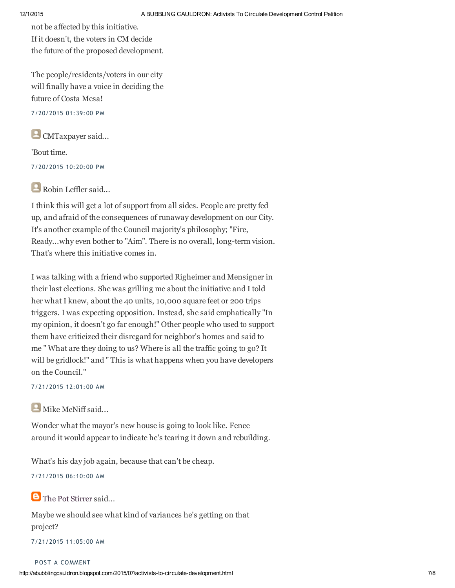not be affected by this initiative. If it doesn't, the voters in CM decide the future of the proposed development.

The people/residents/voters in our city will finally have a voice in deciding the future of Costa Mesa!

7/20/2015 01:39:00 PM

CMTaxpayer said...

'Bout time.

7/20/2015 10:20:00 PM

Robin Leffler said...

I think this will get a lot of support from all sides. People are pretty fed up, and afraid of the consequences of runaway development on our City. It's another example of the Council majority's philosophy; "Fire, Ready...why even bother to "Aim". There is no overall, long-term vision. That's where this initiative comes in.

I was talking with a friend who supported Righeimer and Mensigner in their last elections. She was grilling me about the initiative and I told her what I knew, about the 40 units, 10,000 square feet or 200 trips triggers. I was expecting opposition. Instead, she said emphatically "In my opinion, it doesn't go far enough!" Other people who used to support them have criticized their disregard for neighbor's homes and said to me " What are they doing to us? Where is all the traffic going to go? It will be gridlock!" and " This is what happens when you have developers on the Council."

7/21/2015 12:01:00 AM

Mike McNiff said...

Wonder what the mayor's new house is going to look like. Fence around it would appear to indicate he's tearing it down and rebuilding.

What's his day job again, because that can't be cheap.

7/21/2015 06:10:00 AM

**B** The Pot [Stirrer](https://www.blogger.com/profile/00561445581111656693) said...

Maybe we should see what kind of variances he's getting on that project?

7/21/2015 11:05:00 AM